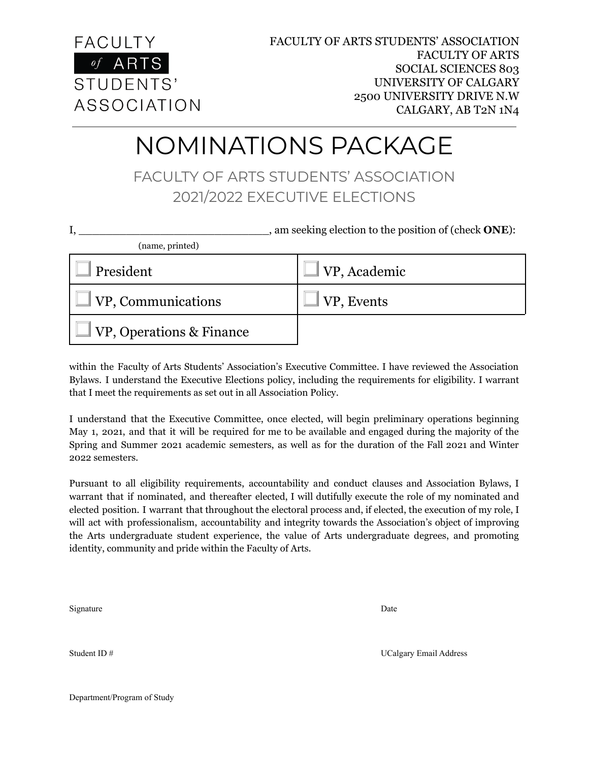

## NOMINATIONS PACKAGE

FACULTY OF ARTS STUDENTS' ASSOCIATION 2021/2022 EXECUTIVE ELECTIONS

| , am seeking election to the position of (check <b>ONE</b> ): |              |
|---------------------------------------------------------------|--------------|
| (name, printed)                                               |              |
| President                                                     | VP, Academic |
| VP, Communications                                            | VP, Events   |
| VP, Operations & Finance                                      |              |

within the Faculty of Arts Students' Association's Executive Committee. I have reviewed the Association Bylaws. I understand the Executive Elections policy, including the requirements for eligibility. I warrant that I meet the requirements as set out in all Association Policy.

I understand that the Executive Committee, once elected, will begin preliminary operations beginning May 1, 2021, and that it will be required for me to be available and engaged during the majority of the Spring and Summer 2021 academic semesters, as well as for the duration of the Fall 2021 and Winter 2022 semesters.

Pursuant to all eligibility requirements, accountability and conduct clauses and Association Bylaws, I warrant that if nominated, and thereafter elected, I will dutifully execute the role of my nominated and elected position. I warrant that throughout the electoral process and, if elected, the execution of my role, I will act with professionalism, accountability and integrity towards the Association's object of improving the Arts undergraduate student experience, the value of Arts undergraduate degrees, and promoting identity, community and pride within the Faculty of Arts.

Signature Date Date of the Date of the Date of the Date of the Date of the Date of the Date of the Date of the Date of the Date of the Date of the Date of the Date of the Date of the Date of the Date of the Date of the Dat

Student ID # UCalgary Email Address Number of the UCalgary Email Address

Department/Program of Study